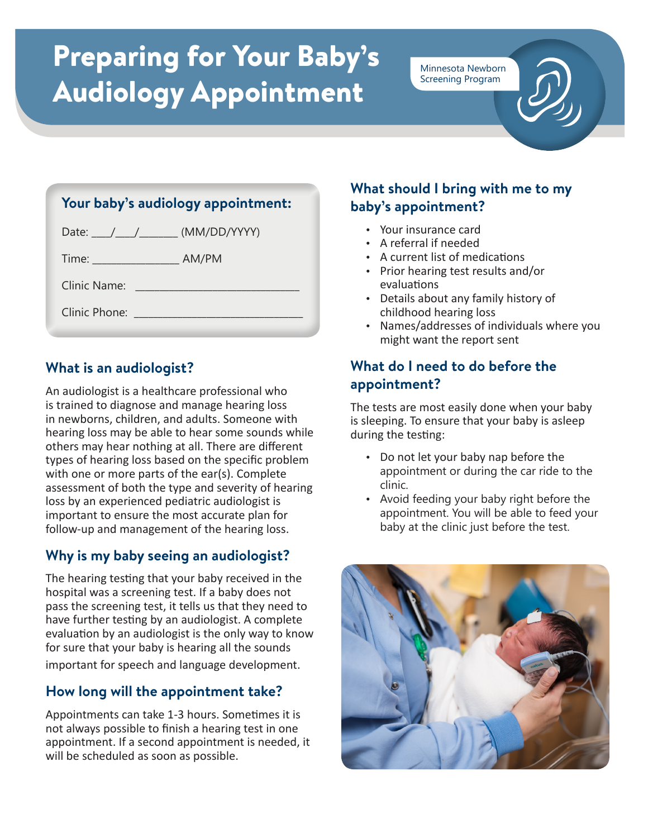# Preparing for Your Baby's Audiology Appointment

Minnesota Newborn Screening Program

| Your baby's audiology appointment: |  |
|------------------------------------|--|
| Date: \___/ \____/ (MM/DD/YYYY)    |  |
| Time: AM/PM                        |  |
|                                    |  |
|                                    |  |
|                                    |  |

# **What is an audiologist?**

An audiologist is a healthcare professional who is trained to diagnose and manage hearing loss in newborns, children, and adults. Someone with hearing loss may be able to hear some sounds while others may hear nothing at all. There are different types of hearing loss based on the specific problem with one or more parts of the ear(s). Complete assessment of both the type and severity of hearing loss by an experienced pediatric audiologist is important to ensure the most accurate plan for follow-up and management of the hearing loss.

#### **Why is my baby seeing an audiologist?**

The hearing testing that your baby received in the hospital was a screening test. If a baby does not pass the screening test, it tells us that they need to have further testing by an audiologist. A complete evaluation by an audiologist is the only way to know for sure that your baby is hearing all the sounds important for speech and language development.

# **How long will the appointment take?**

Appointments can take 1-3 hours. Sometimes it is not always possible to finish a hearing test in one appointment. If a second appointment is needed, it will be scheduled as soon as possible.

#### **What should I bring with me to my baby's appointment?**

- Your insurance card
- A referral if needed
- A current list of medications
- Prior hearing test results and/or evaluations
- Details about any family history of childhood hearing loss
- Names/addresses of individuals where you might want the report sent

#### **What do I need to do before the appointment?**

The tests are most easily done when your baby is sleeping. To ensure that your baby is asleep during the testing:

- Do not let your baby nap before the appointment or during the car ride to the clinic.
- Avoid feeding your baby right before the appointment. You will be able to feed your baby at the clinic just before the test.